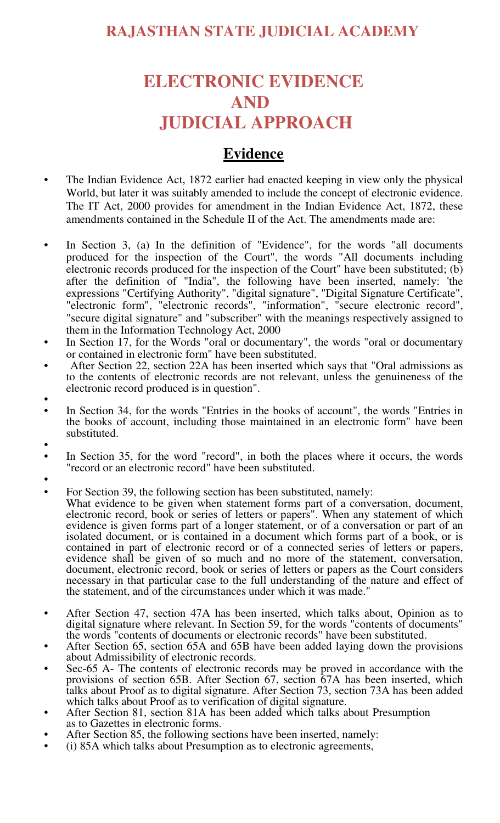## **ELECTRONIC EVIDENCE AND JUDICIAL APPROACH**

### **Evidence**

- The Indian Evidence Act, 1872 earlier had enacted keeping in view only the physical World, but later it was suitably amended to include the concept of electronic evidence. The IT Act, 2000 provides for amendment in the Indian Evidence Act, 1872, these amendments contained in the Schedule II of the Act. The amendments made are:
- In Section 3, (a) In the definition of "Evidence", for the words "all documents produced for the inspection of the Court", the words "All documents including electronic records produced for the inspection of the Court" have been substituted; (b) after the definition of "India", the following have been inserted, namely: 'the expressions "Certifying Authority", "digital signature", "Digital Signature Certificate", "electronic form", "electronic records", "information", "secure electronic record", "secure digital signature" and "subscriber" with the meanings respectively assigned to them in the Information Technology Act, 2000
- In Section 17, for the Words "oral or documentary", the words "oral or documentary or contained in electronic form" have been substituted.
- After Section 22, section 22A has been inserted which says that "Oral admissions as to the contents of electronic records are not relevant, unless the genuineness of the electronic record produced is in question".
- •
- In Section 34, for the words "Entries in the books of account", the words "Entries in the books of account, including those maintained in an electronic form" have been substituted.
- •
- In Section 35, for the word "record", in both the places where it occurs, the words "record or an electronic record" have been substituted.
- •
- For Section 39, the following section has been substituted, namely:
- What evidence to be given when statement forms part of a conversation, document, electronic record, book or series of letters or papers". When any statement of which evidence is given forms part of a longer statement, or of a conversation or part of an isolated document, or is contained in a document which forms part of a book, or is contained in part of electronic record or of a connected series of letters or papers, evidence shall be given of so much and no more of the statement, conversation, document, electronic record, book or series of letters or papers as the Court considers necessary in that particular case to the full understanding of the nature and effect of the statement, and of the circumstances under which it was made."
- After Section 47, section 47A has been inserted, which talks about, Opinion as to digital signature where relevant. In Section 59, for the words "contents of documents" the words "contents of documents or electronic records" have been substituted.
- After Section 65, section 65A and 65B have been added laying down the provisions about Admissibility of electronic records.
- Sec-65 A- The contents of electronic records may be proved in accordance with the provisions of section 65B. After Section 67, section 67A has been inserted, which talks about Proof as to digital signature. After Section 73, section 73A has been added which talks about Proof as to verification of digital signature.
- After Section 81, section 81A has been added which talks about Presumption as to Gazettes in electronic forms.
- After Section 85, the following sections have been inserted, namely:
- (i) 85A which talks about Presumption as to electronic agreements,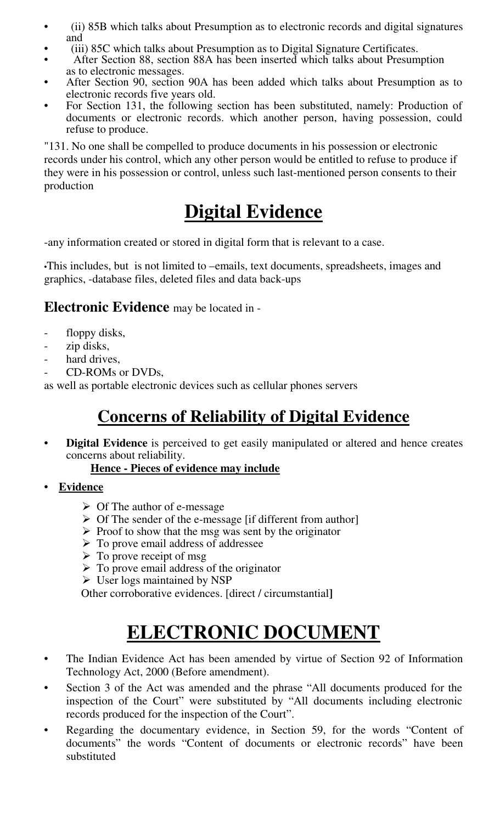- (ii) 85B which talks about Presumption as to electronic records and digital signatures and
- (iii) 85C which talks about Presumption as to Digital Signature Certificates.
- After Section 88, section 88A has been inserted which talks about Presumption as to electronic messages.
- After Section 90, section 90A has been added which talks about Presumption as to electronic records five years old.
- For Section 131, the following section has been substituted, namely: Production of documents or electronic records. which another person, having possession, could refuse to produce.

"131. No one shall be compelled to produce documents in his possession or electronic records under his control, which any other person would be entitled to refuse to produce if they were in his possession or control, unless such last-mentioned person consents to their production

# **Digital Evidence**

-any information created or stored in digital form that is relevant to a case.

•This includes, but is not limited to –emails, text documents, spreadsheets, images and graphics, -database files, deleted files and data back-ups

### **Electronic Evidence** may be located in -

- floppy disks,
- zip disks,
- hard drives.
- CD-ROMs or DVDs.

as well as portable electronic devices such as cellular phones servers

## **Concerns of Reliability of Digital Evidence**

• **Digital Evidence** is perceived to get easily manipulated or altered and hence creates concerns about reliability.

#### **Hence - Pieces of evidence may include**

- **Evidence** 
	- $\triangleright$  Of The author of e-message
	- $\triangleright$  Of The sender of the e-message [if different from author]
	- $\triangleright$  Proof to show that the msg was sent by the originator
	- $\triangleright$  To prove email address of addressee
	- $\triangleright$  To prove receipt of msg
	- $\triangleright$  To prove email address of the originator
	- $\triangleright$  User logs maintained by NSP

Other corroborative evidences. [direct / circumstantial**]**

# **ELECTRONIC DOCUMENT**

- The Indian Evidence Act has been amended by virtue of Section 92 of Information Technology Act, 2000 (Before amendment).
- Section 3 of the Act was amended and the phrase "All documents produced for the inspection of the Court" were substituted by "All documents including electronic records produced for the inspection of the Court".
- Regarding the documentary evidence, in Section 59, for the words "Content of documents" the words "Content of documents or electronic records" have been substituted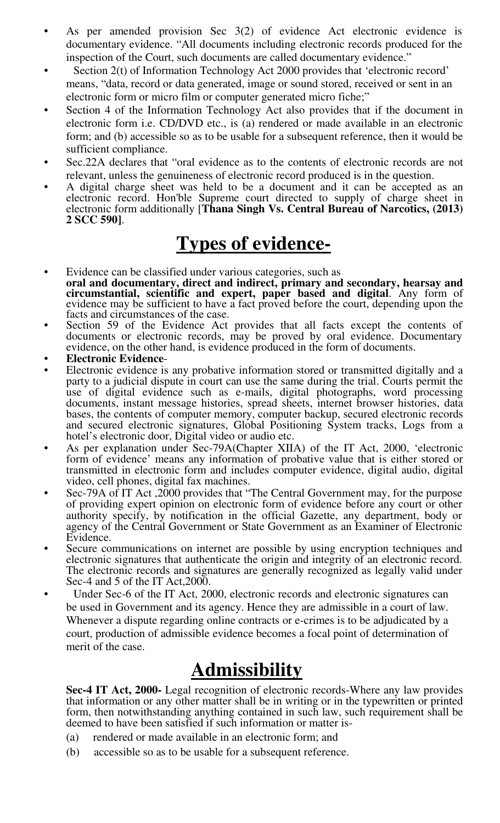- As per amended provision Sec 3(2) of evidence Act electronic evidence is documentary evidence. "All documents including electronic records produced for the inspection of the Court, such documents are called documentary evidence."
- Section 2(t) of Information Technology Act 2000 provides that 'electronic record' means, "data, record or data generated, image or sound stored, received or sent in an electronic form or micro film or computer generated micro fiche;"
- Section 4 of the Information Technology Act also provides that if the document in electronic form i.e. CD/DVD etc., is (a) rendered or made available in an electronic form; and (b) accessible so as to be usable for a subsequent reference, then it would be sufficient compliance.
- Sec.22A declares that "oral evidence as to the contents of electronic records are not relevant, unless the genuineness of electronic record produced is in the question.
- A digital charge sheet was held to be a document and it can be accepted as an electronic record. Hon'ble Supreme court directed to supply of charge sheet in electronic form additionally [**Thana Singh Vs. Central Bureau of Narcotics, (2013) 2 SCC 590]**.

## **Types of evidence-**

- Evidence can be classified under various categories, such as **oral and documentary, direct and indirect, primary and secondary, hearsay and circumstantial, scientific and expert, paper based and digital**. Any form of evidence may be sufficient to have a fact proved before the court, depending upon the facts and circumstances of the case.
- Section 59 of the Evidence Act provides that all facts except the contents of documents or electronic records, may be proved by oral evidence. Documentary evidence, on the other hand, is evidence produced in the form of documents.
- **Electronic Evidence**-
- Electronic evidence is any probative information stored or transmitted digitally and a party to a judicial dispute in court can use the same during the trial. Courts permit the use of digital evidence such as e-mails, digital photographs, word processing documents, instant message histories, spread sheets, internet browser histories, data bases, the contents of computer memory, computer backup, secured electronic records and secured electronic signatures, Global Positioning System tracks, Logs from a hotel's electronic door, Digital video or audio etc.
- As per explanation under Sec-79A(Chapter XIIA) of the IT Act, 2000, 'electronic form of evidence' means any information of probative value that is either stored or transmitted in electronic form and includes computer evidence, digital audio, digital video, cell phones, digital fax machines.
- Sec-79A of IT Act ,2000 provides that "The Central Government may, for the purpose of providing expert opinion on electronic form of evidence before any court or other authority specify, by notification in the official Gazette, any department, body or agency of the Central Government or State Government as an Examiner of Electronic Evidence.
- Secure communications on internet are possible by using encryption techniques and electronic signatures that authenticate the origin and integrity of an electronic record. The electronic records and signatures are generally recognized as legally valid under Sec-4 and 5 of the IT Act,2000.
- Under Sec-6 of the IT Act, 2000, electronic records and electronic signatures can be used in Government and its agency. Hence they are admissible in a court of law. Whenever a dispute regarding online contracts or e-crimes is to be adjudicated by a court, production of admissible evidence becomes a focal point of determination of merit of the case.

# **Admissibility**

**Sec-4 IT Act, 2000-** Legal recognition of electronic records-Where any law provides that information or any other matter shall be in writing or in the typewritten or printed form, then notwithstanding anything contained in such law, such requirement shall be deemed to have been satisfied if such information or matter is-

- (a) rendered or made available in an electronic form; and
- (b) accessible so as to be usable for a subsequent reference.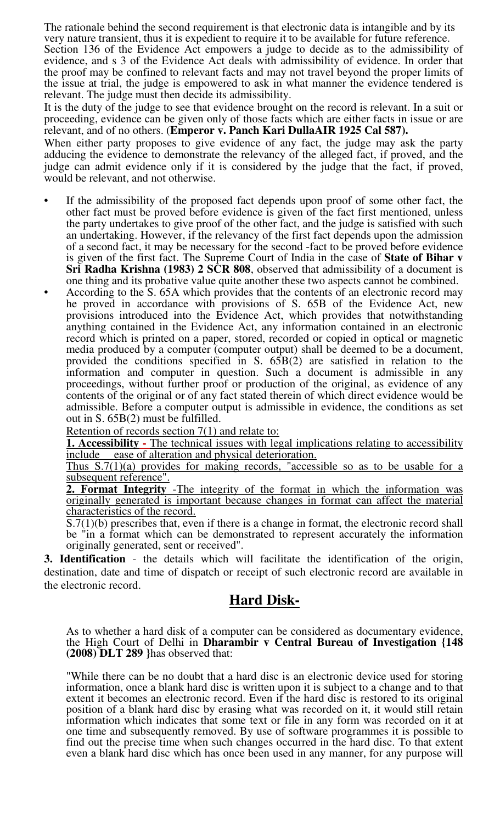The rationale behind the second requirement is that electronic data is intangible and by its very nature transient, thus it is expedient to require it to be available for future reference. Section 136 of the Evidence Act empowers a judge to decide as to the admissibility of evidence, and s 3 of the Evidence Act deals with admissibility of evidence. In order that the proof may be confined to relevant facts and may not travel beyond the proper limits of the issue at trial, the judge is empowered to ask in what manner the evidence tendered is relevant. The judge must then decide its admissibility.

It is the duty of the judge to see that evidence brought on the record is relevant. In a suit or proceeding, evidence can be given only of those facts which are either facts in issue or are relevant, and of no others. (**Emperor v. Panch Kari DullaAIR 1925 Cal 587).** 

When either party proposes to give evidence of any fact, the judge may ask the party adducing the evidence to demonstrate the relevancy of the alleged fact, if proved, and the judge can admit evidence only if it is considered by the judge that the fact, if proved, would be relevant, and not otherwise.

- If the admissibility of the proposed fact depends upon proof of some other fact, the other fact must be proved before evidence is given of the fact first mentioned, unless the party undertakes to give proof of the other fact, and the judge is satisfied with such an undertaking. However, if the relevancy of the first fact depends upon the admission of a second fact, it may be necessary for the second -fact to be proved before evidence is given of the first fact. The Supreme Court of India in the case of **State of Bihar v Sri Radha Krishna (1983) 2 SCR 808**, observed that admissibility of a document is one thing and its probative value quite another these two aspects cannot be combined.
- According to the S. 65A which provides that the contents of an electronic record may he proved in accordance with provisions of S. 65B of the Evidence Act, new provisions introduced into the Evidence Act, which provides that notwithstanding anything contained in the Evidence Act, any information contained in an electronic record which is printed on a paper, stored, recorded or copied in optical or magnetic media produced by a computer (computer output) shall be deemed to be a document, provided the conditions specified in S. 65B(2) are satisfied in relation to the information and computer in question. Such a document is admissible in any proceedings, without further proof or production of the original, as evidence of any contents of the original or of any fact stated therein of which direct evidence would be admissible. Before a computer output is admissible in evidence, the conditions as set out in S. 65B(2) must be fulfilled.

Retention of records section 7(1) and relate to:

**1. Accessibility -** The technical issues with legal implications relating to accessibility include ease of alteration and physical deterioration.

Thus S.7(1)(a) provides for making records, "accessible so as to be usable for a subsequent reference".

**2. Format Integrity** -The integrity of the format in which the information was originally generated is important because changes in format can affect the material characteristics of the record.

S.7(1)(b) prescribes that, even if there is a change in format, the electronic record shall be "in a format which can be demonstrated to represent accurately the information originally generated, sent or received".

**3. Identification** - the details which will facilitate the identification of the origin, destination, date and time of dispatch or receipt of such electronic record are available in the electronic record.

#### **Hard Disk-**

As to whether a hard disk of a computer can be considered as documentary evidence, the High Court of Delhi in **Dharambir v Central Bureau of Investigation {148 (2008) DLT 289 }**has observed that:

"While there can be no doubt that a hard disc is an electronic device used for storing information, once a blank hard disc is written upon it is subject to a change and to that extent it becomes an electronic record. Even if the hard disc is restored to its original position of a blank hard disc by erasing what was recorded on it, it would still retain information which indicates that some text or file in any form was recorded on it at one time and subsequently removed. By use of software programmes it is possible to find out the precise time when such changes occurred in the hard disc. To that extent even a blank hard disc which has once been used in any manner, for any purpose will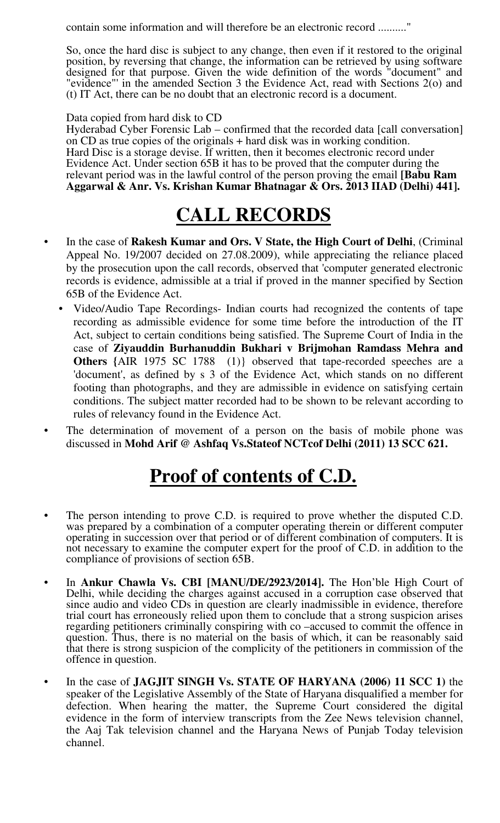contain some information and will therefore be an electronic record .........."

So, once the hard disc is subject to any change, then even if it restored to the original position, by reversing that change, the information can be retrieved by using software designed for that purpose. Given the wide definition of the words "document" and "evidence"' in the amended Section 3 the Evidence Act, read with Sections 2(o) and (t) IT Act, there can be no doubt that an electronic record is a document.

Data copied from hard disk to CD

Hyderabad Cyber Forensic Lab – confirmed that the recorded data [call conversation] on CD as true copies of the originals + hard disk was in working condition. Hard Disc is a storage devise. If written, then it becomes electronic record under Evidence Act. Under section 65B it has to be proved that the computer during the relevant period was in the lawful control of the person proving the email **[Babu Ram Aggarwal & Anr. Vs. Krishan Kumar Bhatnagar & Ors. 2013 IIAD (Delhi) 441].** 

# **CALL RECORDS**

- In the case of **Rakesh Kumar and Ors. V State, the High Court of Delhi**, (Criminal Appeal No. 19/2007 decided on 27.08.2009), while appreciating the reliance placed by the prosecution upon the call records, observed that 'computer generated electronic records is evidence, admissible at a trial if proved in the manner specified by Section 65B of the Evidence Act.
	- Video/Audio Tape Recordings- Indian courts had recognized the contents of tape recording as admissible evidence for some time before the introduction of the IT Act, subject to certain conditions being satisfied. The Supreme Court of India in the case of **Ziyauddin Burhanuddin Bukhari v Brijmohan Ramdass Mehra and Others {**AIR 1975 SC 1788 (1)} observed that tape-recorded speeches are a 'document', as defined by s 3 of the Evidence Act, which stands on no different footing than photographs, and they are admissible in evidence on satisfying certain conditions. The subject matter recorded had to be shown to be relevant according to rules of relevancy found in the Evidence Act.
- The determination of movement of a person on the basis of mobile phone was discussed in **Mohd Arif @ Ashfaq Vs.Stateof NCTcof Delhi (2011) 13 SCC 621.**

## **Proof of contents of C.D.**

- The person intending to prove C.D. is required to prove whether the disputed C.D. was prepared by a combination of a computer operating therein or different computer operating in succession over that period or of different combination of computers. It is not necessary to examine the computer expert for the proof of C.D. in addition to the compliance of provisions of section 65B.
- In **Ankur Chawla Vs. CBI [MANU/DE/2923/2014].** The Hon'ble High Court of Delhi, while deciding the charges against accused in a corruption case observed that since audio and video CDs in question are clearly inadmissible in evidence, therefore trial court has erroneously relied upon them to conclude that a strong suspicion arises regarding petitioners criminally conspiring with co –accused to commit the offence in question. Thus, there is no material on the basis of which, it can be reasonably said that there is strong suspicion of the complicity of the petitioners in commission of the offence in question.
- In the case of **JAGJIT SINGH Vs. STATE OF HARYANA (2006) 11 SCC 1)** the speaker of the Legislative Assembly of the State of Haryana disqualified a member for defection. When hearing the matter, the Supreme Court considered the digital evidence in the form of interview transcripts from the Zee News television channel, the Aaj Tak television channel and the Haryana News of Punjab Today television channel.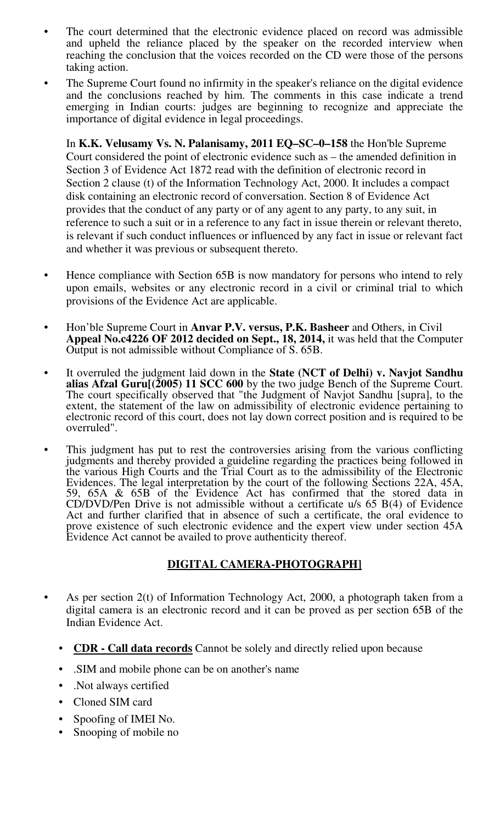- The court determined that the electronic evidence placed on record was admissible and upheld the reliance placed by the speaker on the recorded interview when reaching the conclusion that the voices recorded on the CD were those of the persons taking action.
- The Supreme Court found no infirmity in the speaker's reliance on the digital evidence and the conclusions reached by him. The comments in this case indicate a trend emerging in Indian courts: judges are beginning to recognize and appreciate the importance of digital evidence in legal proceedings.

In **K.K. Velusamy Vs. N. Palanisamy, 2011 EQ–SC–0–158** the Hon'ble Supreme Court considered the point of electronic evidence such as – the amended definition in Section 3 of Evidence Act 1872 read with the definition of electronic record in Section 2 clause (t) of the Information Technology Act, 2000. It includes a compact disk containing an electronic record of conversation. Section 8 of Evidence Act provides that the conduct of any party or of any agent to any party, to any suit, in reference to such a suit or in a reference to any fact in issue therein or relevant thereto, is relevant if such conduct influences or influenced by any fact in issue or relevant fact and whether it was previous or subsequent thereto.

- Hence compliance with Section 65B is now mandatory for persons who intend to rely upon emails, websites or any electronic record in a civil or criminal trial to which provisions of the Evidence Act are applicable.
- Hon'ble Supreme Court in **Anvar P.V. versus, P.K. Basheer** and Others, in Civil **Appeal No.c4226 OF 2012 decided on Sept., 18, 2014,** it was held that the Computer Output is not admissible without Compliance of S. 65B.
- It overruled the judgment laid down in the **State (NCT of Delhi) v. Navjot Sandhu alias Afzal Guru[(2005) 11 SCC 600** by the two judge Bench of the Supreme Court. The court specifically observed that "the Judgment of Navjot Sandhu [supra], to the extent, the statement of the law on admissibility of electronic evidence pertaining to electronic record of this court, does not lay down correct position and is required to be overruled".
- This judgment has put to rest the controversies arising from the various conflicting judgments and thereby provided a guideline regarding the practices being followed in the various High Courts and the Trial Court as to the admissibility of the Electronic Evidences. The legal interpretation by the court of the following Sections 22A, 45A, 59, 65A & 65B of the Evidence Act has confirmed that the stored data in CD/DVD/Pen Drive is not admissible without a certificate u/s 65 B(4) of Evidence Act and further clarified that in absence of such a certificate, the oral evidence to prove existence of such electronic evidence and the expert view under section 45A Evidence Act cannot be availed to prove authenticity thereof.

#### **DIGITAL CAMERA-PHOTOGRAPH]**

- As per section 2(t) of Information Technology Act, 2000, a photograph taken from a digital camera is an electronic record and it can be proved as per section 65B of the Indian Evidence Act.
	- **CDR Call data records** Cannot be solely and directly relied upon because
	- .SIM and mobile phone can be on another's name
	- .Not always certified
	- Cloned SIM card
	- Spoofing of IMEI No.
	- Snooping of mobile no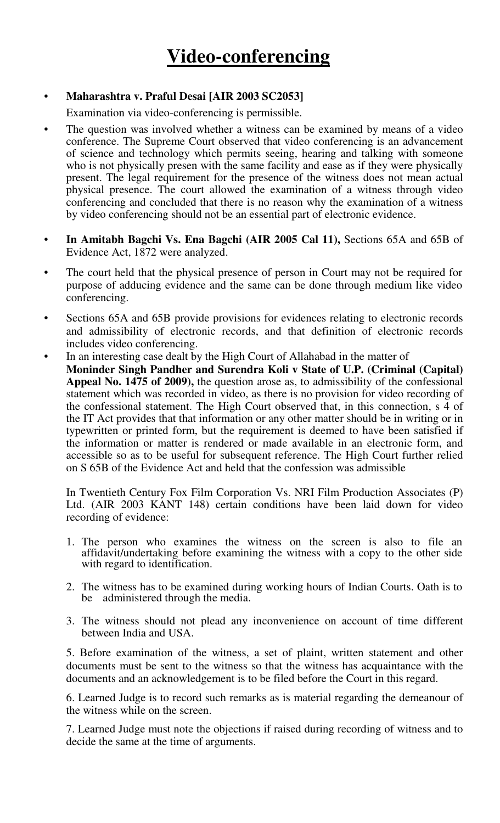#### • **Maharashtra v. Praful Desai [AIR 2003 SC2053]**

Examination via video-conferencing is permissible.

- The question was involved whether a witness can be examined by means of a video conference. The Supreme Court observed that video conferencing is an advancement of science and technology which permits seeing, hearing and talking with someone who is not physically presen with the same facility and ease as if they were physically present. The legal requirement for the presence of the witness does not mean actual physical presence. The court allowed the examination of a witness through video conferencing and concluded that there is no reason why the examination of a witness by video conferencing should not be an essential part of electronic evidence.
- **In Amitabh Bagchi Vs. Ena Bagchi (AIR 2005 Cal 11),** Sections 65A and 65B of Evidence Act, 1872 were analyzed.
- The court held that the physical presence of person in Court may not be required for purpose of adducing evidence and the same can be done through medium like video conferencing.
- Sections 65A and 65B provide provisions for evidences relating to electronic records and admissibility of electronic records, and that definition of electronic records includes video conferencing.
- In an interesting case dealt by the High Court of Allahabad in the matter of **Moninder Singh Pandher and Surendra Koli v State of U.P. (Criminal (Capital) Appeal No. 1475 of 2009),** the question arose as, to admissibility of the confessional statement which was recorded in video, as there is no provision for video recording of the confessional statement. The High Court observed that, in this connection, s 4 of the IT Act provides that that information or any other matter should be in writing or in typewritten or printed form, but the requirement is deemed to have been satisfied if the information or matter is rendered or made available in an electronic form, and accessible so as to be useful for subsequent reference. The High Court further relied on S 65B of the Evidence Act and held that the confession was admissible

In Twentieth Century Fox Film Corporation Vs. NRI Film Production Associates (P) Ltd. (AIR 2003 KANT 148) certain conditions have been laid down for video recording of evidence:

- 1. The person who examines the witness on the screen is also to file an affidavit/undertaking before examining the witness with a copy to the other side with regard to identification.
- 2. The witness has to be examined during working hours of Indian Courts. Oath is to be administered through the media.
- 3. The witness should not plead any inconvenience on account of time different between India and USA.

5. Before examination of the witness, a set of plaint, written statement and other documents must be sent to the witness so that the witness has acquaintance with the documents and an acknowledgement is to be filed before the Court in this regard.

6. Learned Judge is to record such remarks as is material regarding the demeanour of the witness while on the screen.

7. Learned Judge must note the objections if raised during recording of witness and to decide the same at the time of arguments.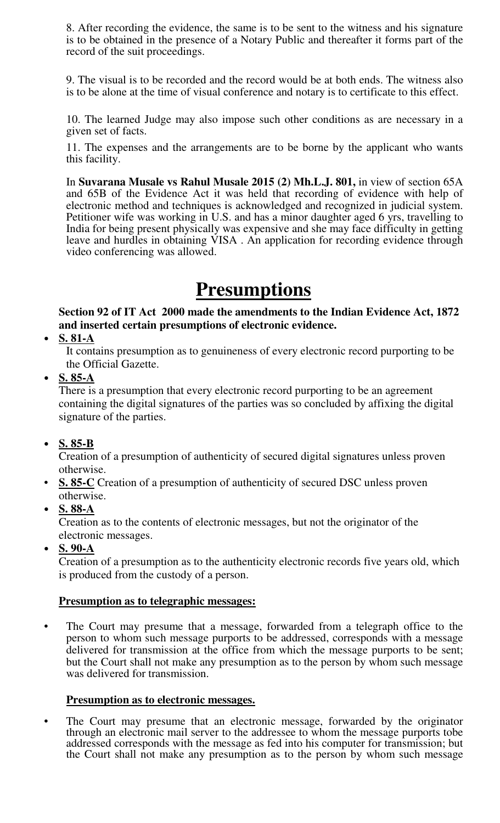8. After recording the evidence, the same is to be sent to the witness and his signature is to be obtained in the presence of a Notary Public and thereafter it forms part of the record of the suit proceedings.

9. The visual is to be recorded and the record would be at both ends. The witness also is to be alone at the time of visual conference and notary is to certificate to this effect.

10. The learned Judge may also impose such other conditions as are necessary in a given set of facts.

11. The expenses and the arrangements are to be borne by the applicant who wants this facility.

In **Suvarana Musale vs Rahul Musale 2015 (2) Mh.L.J. 801,** in view of section 65A and 65B of the Evidence Act it was held that recording of evidence with help of electronic method and techniques is acknowledged and recognized in judicial system. Petitioner wife was working in U.S. and has a minor daughter aged 6 yrs, travelling to India for being present physically was expensive and she may face difficulty in getting leave and hurdles in obtaining VISA . An application for recording evidence through video conferencing was allowed.

## **Presumptions**

#### **Section 92 of IT Act 2000 made the amendments to the Indian Evidence Act, 1872 and inserted certain presumptions of electronic evidence.**

• **S. 81-A**

It contains presumption as to genuineness of every electronic record purporting to be the Official Gazette.

• **S. 85-A**

There is a presumption that every electronic record purporting to be an agreement containing the digital signatures of the parties was so concluded by affixing the digital signature of the parties.

• **S. 85-B**

Creation of a presumption of authenticity of secured digital signatures unless proven otherwise.

- **S. 85-C** Creation of a presumption of authenticity of secured DSC unless proven otherwise.
- **S. 88-A**

Creation as to the contents of electronic messages, but not the originator of the electronic messages.

• **S. 90-A**

Creation of a presumption as to the authenticity electronic records five years old, which is produced from the custody of a person.

#### **Presumption as to telegraphic messages:**

The Court may presume that a message, forwarded from a telegraph office to the person to whom such message purports to be addressed, corresponds with a message delivered for transmission at the office from which the message purports to be sent; but the Court shall not make any presumption as to the person by whom such message was delivered for transmission.

#### **Presumption as to electronic messages.**

The Court may presume that an electronic message, forwarded by the originator through an electronic mail server to the addressee to whom the message purports tobe addressed corresponds with the message as fed into his computer for transmission; but the Court shall not make any presumption as to the person by whom such message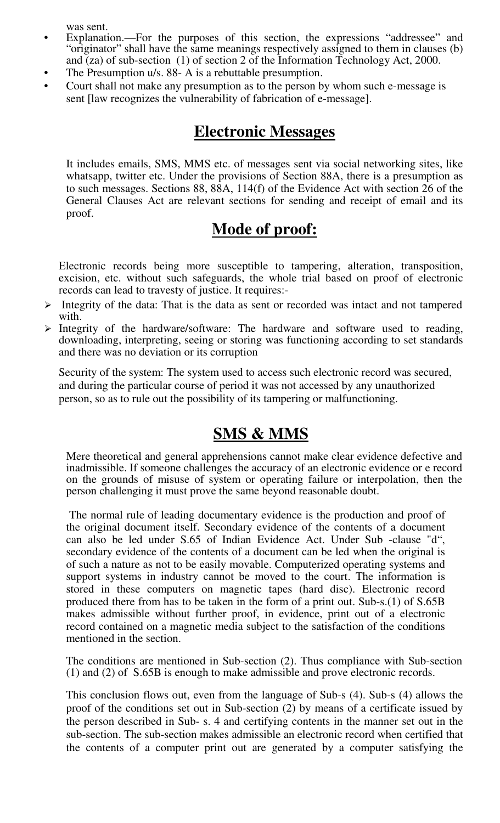was sent.

- Explanation.—For the purposes of this section, the expressions "addressee" and "originator" shall have the same meanings respectively assigned to them in clauses (b) and (za) of sub-section (1) of section 2 of the Information Technology Act, 2000.
- The Presumption u/s. 88- A is a rebuttable presumption.
- Court shall not make any presumption as to the person by whom such e-message is sent [law recognizes the vulnerability of fabrication of e-message].

### **Electronic Messages**

It includes emails, SMS, MMS etc. of messages sent via social networking sites, like whatsapp, twitter etc. Under the provisions of Section 88A, there is a presumption as to such messages. Sections 88, 88A, 114(f) of the Evidence Act with section 26 of the General Clauses Act are relevant sections for sending and receipt of email and its proof.

### **Mode of proof:**

Electronic records being more susceptible to tampering, alteration, transposition, excision, etc. without such safeguards, the whole trial based on proof of electronic records can lead to travesty of justice. It requires:-

- $\triangleright$  Integrity of the data: That is the data as sent or recorded was intact and not tampered with.
- $\triangleright$  Integrity of the hardware/software: The hardware and software used to reading, downloading, interpreting, seeing or storing was functioning according to set standards and there was no deviation or its corruption

Security of the system: The system used to access such electronic record was secured, and during the particular course of period it was not accessed by any unauthorized person, so as to rule out the possibility of its tampering or malfunctioning.

## **SMS & MMS**

Mere theoretical and general apprehensions cannot make clear evidence defective and inadmissible. If someone challenges the accuracy of an electronic evidence or e record on the grounds of misuse of system or operating failure or interpolation, then the person challenging it must prove the same beyond reasonable doubt.

The normal rule of leading documentary evidence is the production and proof of the original document itself. Secondary evidence of the contents of a document can also be led under S.65 of Indian Evidence Act. Under Sub -clause "d", secondary evidence of the contents of a document can be led when the original is of such a nature as not to be easily movable. Computerized operating systems and support systems in industry cannot be moved to the court. The information is stored in these computers on magnetic tapes (hard disc). Electronic record produced there from has to be taken in the form of a print out. Sub-s.(1) of S.65B makes admissible without further proof, in evidence, print out of a electronic record contained on a magnetic media subject to the satisfaction of the conditions mentioned in the section.

The conditions are mentioned in Sub-section (2). Thus compliance with Sub-section (1) and (2) of S.65B is enough to make admissible and prove electronic records.

This conclusion flows out, even from the language of Sub-s (4). Sub-s (4) allows the proof of the conditions set out in Sub-section (2) by means of a certificate issued by the person described in Sub- s. 4 and certifying contents in the manner set out in the sub-section. The sub-section makes admissible an electronic record when certified that the contents of a computer print out are generated by a computer satisfying the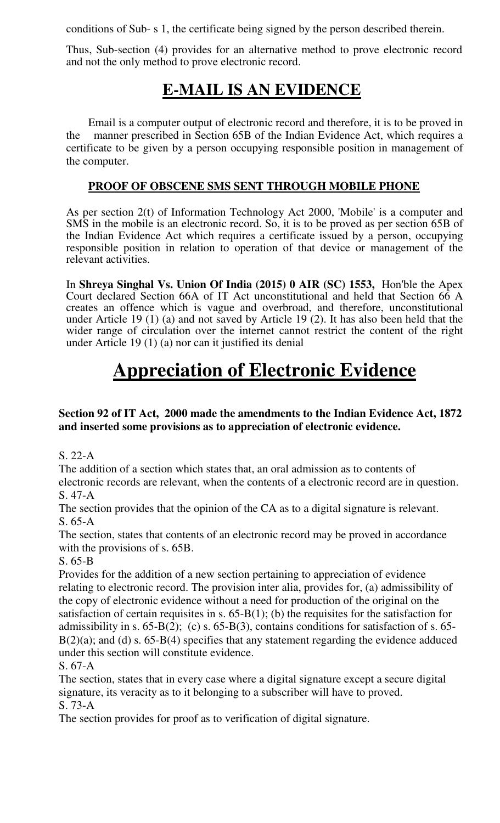conditions of Sub- s 1, the certificate being signed by the person described therein.

Thus, Sub-section (4) provides for an alternative method to prove electronic record and not the only method to prove electronic record.

### **E-MAIL IS AN EVIDENCE**

Email is a computer output of electronic record and therefore, it is to be proved in the manner prescribed in Section 65B of the Indian Evidence Act, which requires a certificate to be given by a person occupying responsible position in management of the computer.

#### **PROOF OF OBSCENE SMS SENT THROUGH MOBILE PHONE**

As per section 2(t) of Information Technology Act 2000, 'Mobile' is a computer and SMS in the mobile is an electronic record. So, it is to be proved as per section 65B of the Indian Evidence Act which requires a certificate issued by a person, occupying responsible position in relation to operation of that device or management of the relevant activities.

In **Shreya Singhal Vs. Union Of India (2015) 0 AIR (SC) 1553,** Hon'ble the Apex Court declared Section 66A of IT Act unconstitutional and held that Section 66 A creates an offence which is vague and overbroad, and therefore, unconstitutional under Article 19 (1) (a) and not saved by Article 19 (2). It has also been held that the wider range of circulation over the internet cannot restrict the content of the right under Article 19 (1) (a) nor can it justified its denial

# **Appreciation of Electronic Evidence**

#### **Section 92 of IT Act, 2000 made the amendments to the Indian Evidence Act, 1872 and inserted some provisions as to appreciation of electronic evidence.**

S. 22-A

The addition of a section which states that, an oral admission as to contents of electronic records are relevant, when the contents of a electronic record are in question. S. 47-A

The section provides that the opinion of the CA as to a digital signature is relevant. S. 65-A

The section, states that contents of an electronic record may be proved in accordance with the provisions of s. 65B.

S. 65-B

Provides for the addition of a new section pertaining to appreciation of evidence relating to electronic record. The provision inter alia, provides for, (a) admissibility of the copy of electronic evidence without a need for production of the original on the satisfaction of certain requisites in s.  $65-B(1)$ ; (b) the requisites for the satisfaction for admissibility in s.  $65-B(2)$ ; (c) s.  $65-B(3)$ , contains conditions for satisfaction of s.  $65-B(2)$ ;  $B(2)(a)$ ; and (d) s. 65-B(4) specifies that any statement regarding the evidence adduced under this section will constitute evidence.

S. 67-A

The section, states that in every case where a digital signature except a secure digital signature, its veracity as to it belonging to a subscriber will have to proved. S. 73-A

The section provides for proof as to verification of digital signature.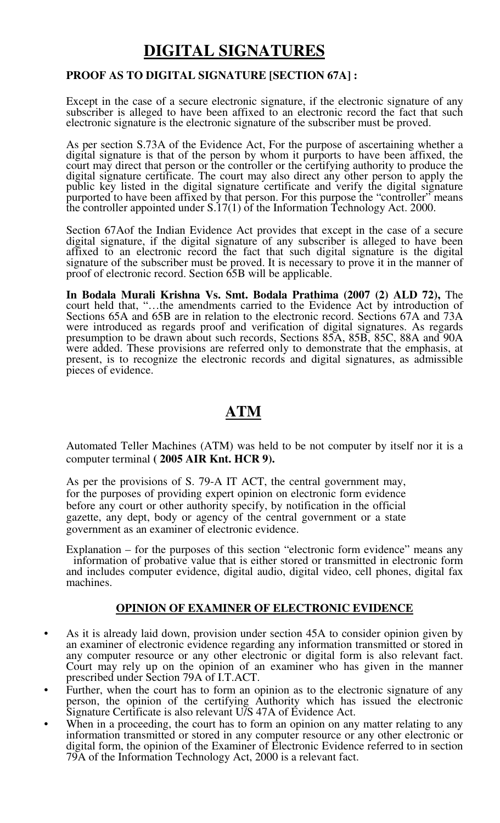### **DIGITAL SIGNATURES**

#### **PROOF AS TO DIGITAL SIGNATURE [SECTION 67A] :**

Except in the case of a secure electronic signature, if the electronic signature of any subscriber is alleged to have been affixed to an electronic record the fact that such electronic signature is the electronic signature of the subscriber must be proved.

As per section S.73A of the Evidence Act, For the purpose of ascertaining whether a digital signature is that of the person by whom it purports to have been affixed, the court may direct that person or the controller or the certifying authority to produce the digital signature certificate. The court may also direct any other person to apply the public key listed in the digital signature certificate and verify the digital signature purported to have been affixed by that person. For this purpose the "controller" means the controller appointed under S.17(1) of the Information Technology Act. 2000.

Section 67Aof the Indian Evidence Act provides that except in the case of a secure digital signature, if the digital signature of any subscriber is alleged to have been affixed to an electronic record the fact that such digital signature is the digital signature of the subscriber must be proved. It is necessary to prove it in the manner of proof of electronic record. Section 65B will be applicable.

**In Bodala Murali Krishna Vs. Smt. Bodala Prathima (2007 (2) ALD 72),** The court held that, "…the amendments carried to the Evidence Act by introduction of Sections 65A and 65B are in relation to the electronic record. Sections 67A and 73A were introduced as regards proof and verification of digital signatures. As regards presumption to be drawn about such records, Sections 85A, 85B, 85C, 88A and 90A were added. These provisions are referred only to demonstrate that the emphasis, at present, is to recognize the electronic records and digital signatures, as admissible pieces of evidence.

### **ATM**

Automated Teller Machines (ATM) was held to be not computer by itself nor it is a computer terminal **( 2005 AIR Knt. HCR 9).**

As per the provisions of S. 79-A IT ACT, the central government may, for the purposes of providing expert opinion on electronic form evidence before any court or other authority specify, by notification in the official gazette, any dept, body or agency of the central government or a state government as an examiner of electronic evidence.

Explanation – for the purposes of this section "electronic form evidence" means any information of probative value that is either stored or transmitted in electronic form and includes computer evidence, digital audio, digital video, cell phones, digital fax machines.

#### **OPINION OF EXAMINER OF ELECTRONIC EVIDENCE**

- As it is already laid down, provision under section 45A to consider opinion given by an examiner of electronic evidence regarding any information transmitted or stored in any computer resource or any other electronic or digital form is also relevant fact. Court may rely up on the opinion of an examiner who has given in the manner prescribed under Section 79A of I.T.ACT.
- Further, when the court has to form an opinion as to the electronic signature of any person, the opinion of the certifying Authority which has issued the electronic Signature Certificate is also relevant U/S 47A of Evidence Act.
- When in a proceeding, the court has to form an opinion on any matter relating to any information transmitted or stored in any computer resource or any other electronic or digital form, the opinion of the Examiner of Electronic Evidence referred to in section 79A of the Information Technology Act, 2000 is a relevant fact.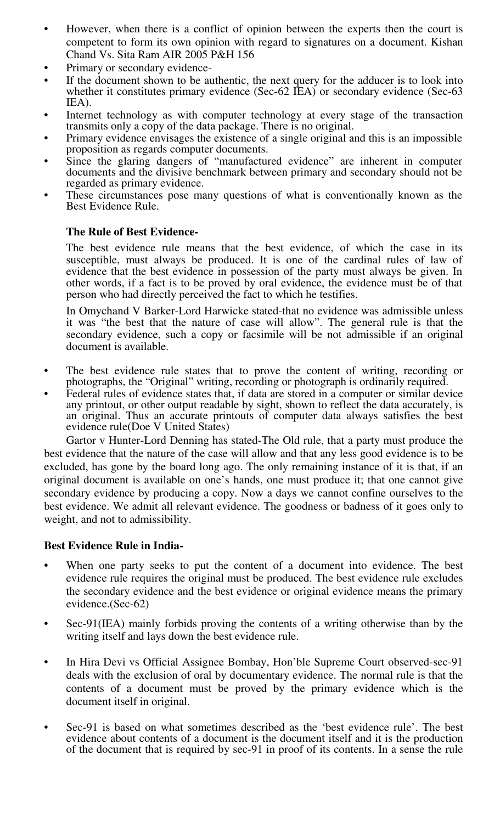- However, when there is a conflict of opinion between the experts then the court is competent to form its own opinion with regard to signatures on a document. Kishan Chand Vs. Sita Ram AIR 2005 P&H 156
- Primary or secondary evidence-
- If the document shown to be authentic, the next query for the adducer is to look into whether it constitutes primary evidence (Sec-62 IEA) or secondary evidence (Sec-63 IEA).
- Internet technology as with computer technology at every stage of the transaction transmits only a copy of the data package. There is no original.
- Primary evidence envisages the existence of a single original and this is an impossible proposition as regards computer documents.
- Since the glaring dangers of "manufactured evidence" are inherent in computer documents and the divisive benchmark between primary and secondary should not be regarded as primary evidence.
- These circumstances pose many questions of what is conventionally known as the Best Evidence Rule.

#### **The Rule of Best Evidence-**

The best evidence rule means that the best evidence, of which the case in its susceptible, must always be produced. It is one of the cardinal rules of law of evidence that the best evidence in possession of the party must always be given. In other words, if a fact is to be proved by oral evidence, the evidence must be of that person who had directly perceived the fact to which he testifies.

In Omychand V Barker-Lord Harwicke stated-that no evidence was admissible unless it was "the best that the nature of case will allow". The general rule is that the secondary evidence, such a copy or facsimile will be not admissible if an original document is available.

- The best evidence rule states that to prove the content of writing, recording or photographs, the "Original" writing, recording or photograph is ordinarily required.
- Federal rules of evidence states that, if data are stored in a computer or similar device any printout, or other output readable by sight, shown to reflect the data accurately, is an original. Thus an accurate printouts of computer data always satisfies the best evidence rule(Doe V United States)

Gartor v Hunter-Lord Denning has stated-The Old rule, that a party must produce the best evidence that the nature of the case will allow and that any less good evidence is to be excluded, has gone by the board long ago. The only remaining instance of it is that, if an original document is available on one's hands, one must produce it; that one cannot give secondary evidence by producing a copy. Now a days we cannot confine ourselves to the best evidence. We admit all relevant evidence. The goodness or badness of it goes only to weight, and not to admissibility.

#### **Best Evidence Rule in India-**

- When one party seeks to put the content of a document into evidence. The best evidence rule requires the original must be produced. The best evidence rule excludes the secondary evidence and the best evidence or original evidence means the primary evidence.(Sec-62)
- Sec-91(IEA) mainly forbids proving the contents of a writing otherwise than by the writing itself and lays down the best evidence rule.
- In Hira Devi vs Official Assignee Bombay, Hon'ble Supreme Court observed-sec-91 deals with the exclusion of oral by documentary evidence. The normal rule is that the contents of a document must be proved by the primary evidence which is the document itself in original.
- Sec-91 is based on what sometimes described as the 'best evidence rule'. The best evidence about contents of a document is the document itself and it is the production of the document that is required by sec-91 in proof of its contents. In a sense the rule